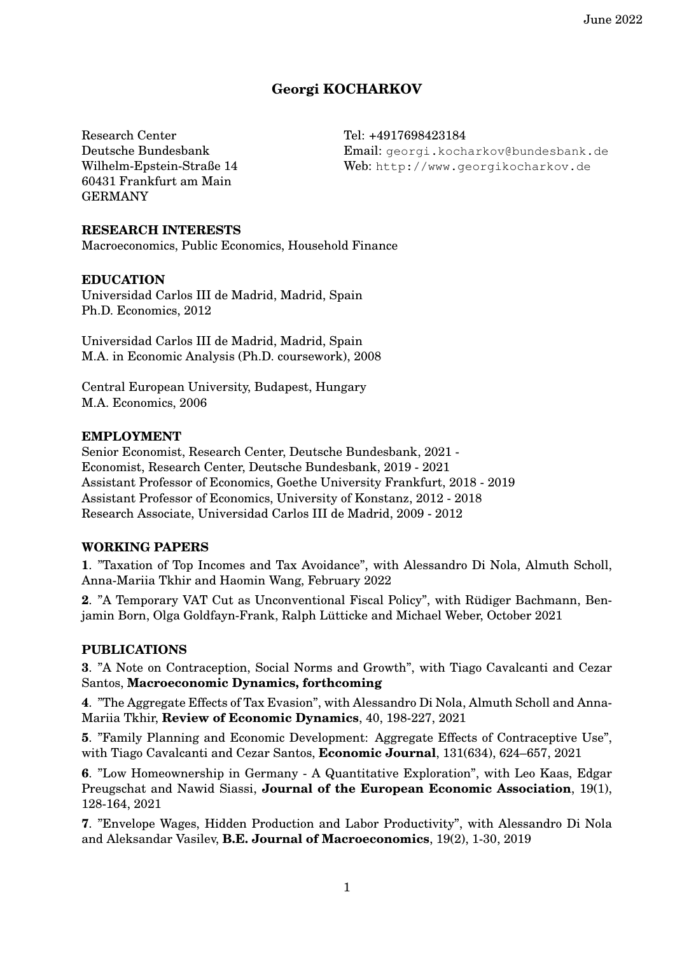# **Georgi KOCHARKOV**

Research Center Deutsche Bundesbank Wilhelm-Epstein-Straße 14 60431 Frankfurt am Main GERMANY

Tel: +4917698423184 Email: [georgi.kocharkov@bundesbank.de](mailto:georgi.kocharkov@bundesbank.de) Web: <http://www.georgikocharkov.de>

#### **RESEARCH INTERESTS**

Macroeconomics, Public Economics, Household Finance

#### **EDUCATION**

Universidad Carlos III de Madrid, Madrid, Spain Ph.D. Economics, 2012

Universidad Carlos III de Madrid, Madrid, Spain M.A. in Economic Analysis (Ph.D. coursework), 2008

Central European University, Budapest, Hungary M.A. Economics, 2006

#### **EMPLOYMENT**

Senior Economist, Research Center, Deutsche Bundesbank, 2021 - Economist, Research Center, Deutsche Bundesbank, 2019 - 2021 Assistant Professor of Economics, Goethe University Frankfurt, 2018 - 2019 Assistant Professor of Economics, University of Konstanz, 2012 - 2018 Research Associate, Universidad Carlos III de Madrid, 2009 - 2012

### **WORKING PAPERS**

**1**. "Taxation of Top Incomes and Tax Avoidance", with Alessandro Di Nola, Almuth Scholl, Anna-Mariia Tkhir and Haomin Wang, February 2022

2. "A Temporary VAT Cut as Unconventional Fiscal Policy", with Rüdiger Bachmann, Benjamin Born, Olga Goldfayn-Frank, Ralph Lütticke and Michael Weber, October 2021

### **PUBLICATIONS**

**3**. "A Note on Contraception, Social Norms and Growth", with Tiago Cavalcanti and Cezar Santos, **Macroeconomic Dynamics, forthcoming**

**4**. "The Aggregate Effects of Tax Evasion", with Alessandro Di Nola, Almuth Scholl and Anna-Mariia Tkhir, **Review of Economic Dynamics**, 40, 198-227, 2021

**5**. "Family Planning and Economic Development: Aggregate Effects of Contraceptive Use", with Tiago Cavalcanti and Cezar Santos, **Economic Journal**, 131(634), 624–657, 2021

**6**. "Low Homeownership in Germany - A Quantitative Exploration", with Leo Kaas, Edgar Preugschat and Nawid Siassi, **Journal of the European Economic Association**, 19(1), 128-164, 2021

**7**. "Envelope Wages, Hidden Production and Labor Productivity", with Alessandro Di Nola and Aleksandar Vasilev, **B.E. Journal of Macroeconomics**, 19(2), 1-30, 2019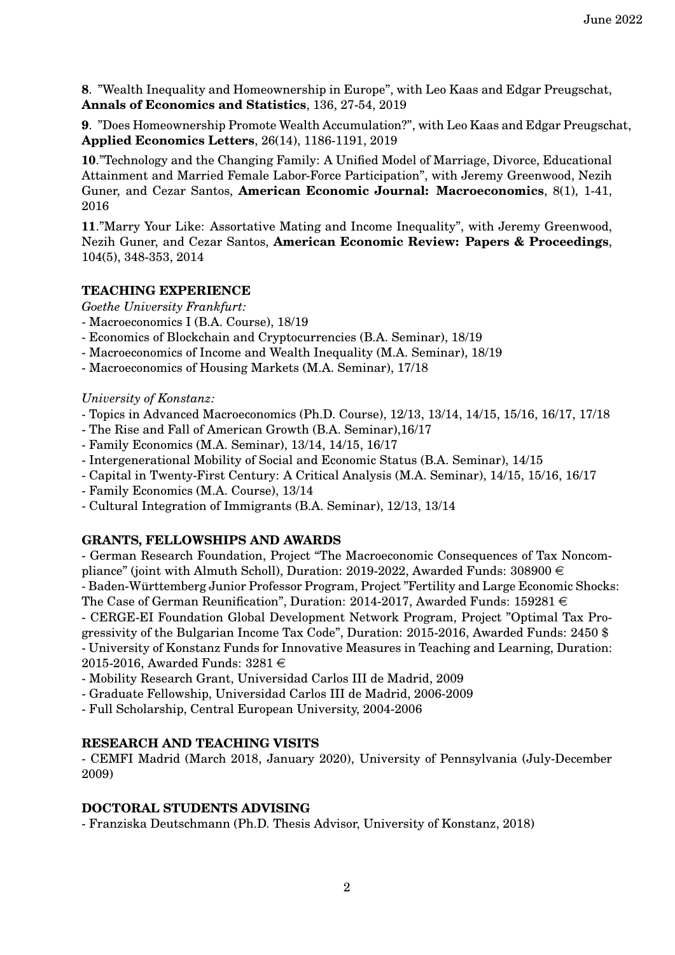**8**. "Wealth Inequality and Homeownership in Europe", with Leo Kaas and Edgar Preugschat, **Annals of Economics and Statistics**, 136, 27-54, 2019

**9**. "Does Homeownership Promote Wealth Accumulation?", with Leo Kaas and Edgar Preugschat, **Applied Economics Letters**, 26(14), 1186-1191, 2019

**10**."Technology and the Changing Family: A Unified Model of Marriage, Divorce, Educational Attainment and Married Female Labor-Force Participation", with Jeremy Greenwood, Nezih Guner, and Cezar Santos, **American Economic Journal: Macroeconomics**, 8(1), 1-41, 2016

**11**."Marry Your Like: Assortative Mating and Income Inequality", with Jeremy Greenwood, Nezih Guner, and Cezar Santos, **American Economic Review: Papers & Proceedings**, 104(5), 348-353, 2014

# **TEACHING EXPERIENCE**

*Goethe University Frankfurt:*

- Macroeconomics I (B.A. Course), 18/19
- Economics of Blockchain and Cryptocurrencies (B.A. Seminar), 18/19
- Macroeconomics of Income and Wealth Inequality (M.A. Seminar), 18/19
- Macroeconomics of Housing Markets (M.A. Seminar), 17/18

### *University of Konstanz:*

- Topics in Advanced Macroeconomics (Ph.D. Course), 12/13, 13/14, 14/15, 15/16, 16/17, 17/18
- The Rise and Fall of American Growth (B.A. Seminar),16/17
- Family Economics (M.A. Seminar), 13/14, 14/15, 16/17
- Intergenerational Mobility of Social and Economic Status (B.A. Seminar), 14/15
- Capital in Twenty-First Century: A Critical Analysis (M.A. Seminar), 14/15, 15/16, 16/17
- Family Economics (M.A. Course), 13/14
- Cultural Integration of Immigrants (B.A. Seminar), 12/13, 13/14

### **GRANTS, FELLOWSHIPS AND AWARDS**

- German Research Foundation, Project "The Macroeconomic Consequences of Tax Noncompliance" (joint with Almuth Scholl), Duration: 2019-2022, Awarded Funds: 308900  $\in$ - Baden-Wurttemberg Junior Professor Program, Project "Fertility and Large Economic Shocks: ¨ The Case of German Reunification", Duration: 2014-2017, Awarded Funds: 159281  $\in$ - CERGE-EI Foundation Global Development Network Program, Project "Optimal Tax Progressivity of the Bulgarian Income Tax Code", Duration: 2015-2016, Awarded Funds: 2450 \$ - University of Konstanz Funds for Innovative Measures in Teaching and Learning, Duration: 2015-2016, Awarded Funds:  $3281 \in$ 

- Mobility Research Grant, Universidad Carlos III de Madrid, 2009
- Graduate Fellowship, Universidad Carlos III de Madrid, 2006-2009
- Full Scholarship, Central European University, 2004-2006

### **RESEARCH AND TEACHING VISITS**

- CEMFI Madrid (March 2018, January 2020), University of Pennsylvania (July-December 2009)

### **DOCTORAL STUDENTS ADVISING**

- Franziska Deutschmann (Ph.D. Thesis Advisor, University of Konstanz, 2018)